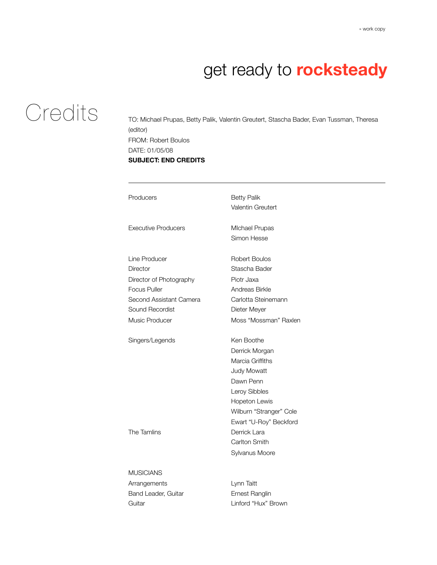## **Credits**

TO: Michael Prupas, Betty Palik, Valentin Greutert, Stascha Bader, Evan Tussman, Theresa (editor) FROM: Robert Boulos DATE: 01/05/08 **SUBJECT: END CREDITS**

| Producers                                                                                                                                   | <b>Betty Palik</b><br>Valentin Greutert                                                                                                                                                                                       |
|---------------------------------------------------------------------------------------------------------------------------------------------|-------------------------------------------------------------------------------------------------------------------------------------------------------------------------------------------------------------------------------|
| <b>Executive Producers</b>                                                                                                                  | <b>Michael Prupas</b><br>Simon Hesse                                                                                                                                                                                          |
| Line Producer<br>Director<br>Director of Photography<br><b>Focus Puller</b><br>Second Assistant Camera<br>Sound Recordist<br>Music Producer | <b>Robert Boulos</b><br>Stascha Bader<br>Piotr Jaxa<br>Andreas Birkle<br>Carlotta Steinemann<br>Dieter Meyer<br>Moss "Mossman" Raxlen                                                                                         |
| Singers/Legends<br>The Tamlins                                                                                                              | Ken Boothe<br>Derrick Morgan<br>Marcia Griffiths<br><b>Judy Mowatt</b><br>Dawn Penn<br>Leroy Sibbles<br>Hopeton Lewis<br>Wilburn "Stranger" Cole<br>Ewart "U-Roy" Beckford<br>Derrick Lara<br>Carlton Smith<br>Sylvanus Moore |
| <b>MUSICIANS</b><br>Arrangements<br>Band Leader, Guitar<br>Guitar                                                                           | Lynn Taitt<br>Ernest Ranglin<br>Linford "Hux" Brown                                                                                                                                                                           |
|                                                                                                                                             |                                                                                                                                                                                                                               |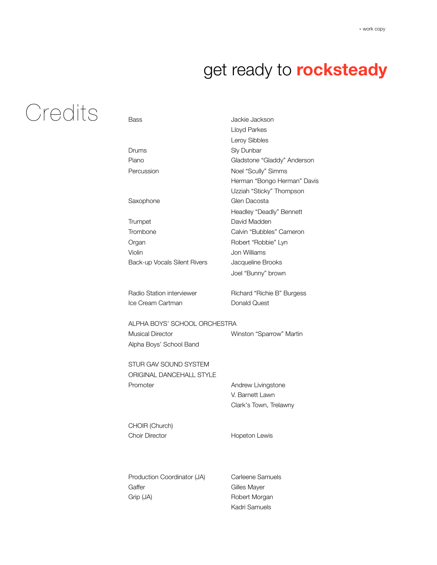## **Credits**

| Bass                         | Jackie Jackson              |
|------------------------------|-----------------------------|
|                              | Lloyd Parkes                |
|                              | <b>Leroy Sibbles</b>        |
| Drums                        | Sly Dunbar                  |
| Piano                        | Gladstone "Gladdy" Anderson |
| Percussion                   | Noel "Scully" Simms         |
|                              | Herman "Bongo Herman" Davis |
|                              | Uzziah "Sticky" Thompson    |
| Saxophone                    | Glen Dacosta                |
|                              | Headley "Deadly" Bennett    |
| Trumpet                      | David Madden                |
| Trombone                     | Calvin "Bubbles" Cameron    |
| Organ                        | Robert "Robbie" Lyn         |
| Violin                       | Jon Williams                |
| Back-up Vocals Silent Rivers | Jacqueline Brooks           |
|                              | Joel "Bunny" brown          |
| Radio Station interviewer    | Richard "Richie B" Burgess  |
| Ice Cream Cartman            | <b>Donald Quest</b>         |
| ALPHA BOYS' SCHOOL ORCHESTRA |                             |
| <b>Musical Director</b>      | Winston "Sparrow" Martin    |
| Alpha Boys' School Band      |                             |
| STUR GAV SOUND SYSTEM        |                             |
| ORIGINAL DANCEHALL STYLE     |                             |
| Promoter                     | Andrew Livingstone          |
|                              | V. Barnett Lawn             |
|                              | Clark's Town, Trelawny      |
| CHOIR (Church)               |                             |
| <b>Choir Director</b>        | <b>Hopeton Lewis</b>        |
|                              |                             |
| Production Coordinator (JA)  | Carleene Samuels            |

Gaffer Gaffer Gilles Mayer Grip (JA) Robert Morgan

Kadri Samuels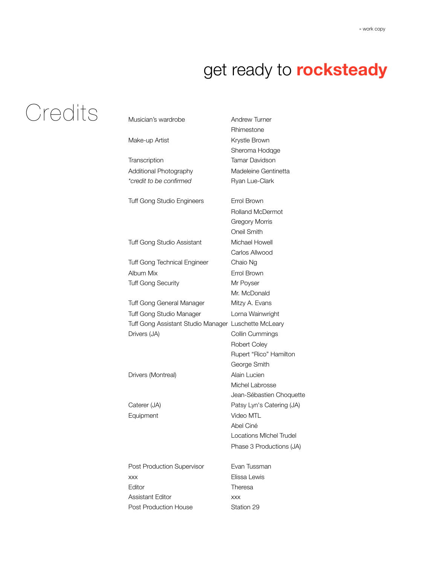# **Credits**

| Musician's wardrobe                                  | <b>Andrew Turner</b>      |
|------------------------------------------------------|---------------------------|
|                                                      | Rhimestone                |
| Make-up Artist                                       | Krystle Brown             |
|                                                      | Sheroma Hodqge            |
| Transcription                                        | <b>Tamar Davidson</b>     |
| Additional Photography                               | Madeleine Gentinetta      |
| *credit to be confirmed                              | Ryan Lue-Clark            |
| <b>Tuff Gong Studio Engineers</b>                    | Errol Brown               |
|                                                      | <b>Rolland McDermot</b>   |
|                                                      | <b>Gregory Morris</b>     |
|                                                      | Oneil Smith               |
| Tuff Gong Studio Assistant                           | Michael Howell            |
|                                                      | Carlos Allwood            |
| <b>Tuff Gong Technical Engineer</b>                  | Chaio Ng                  |
| Album Mix                                            | Errol Brown               |
| <b>Tuff Gong Security</b>                            | Mr Poyser                 |
|                                                      | Mr. McDonald              |
| Tuff Gong General Manager                            | Mitzy A. Evans            |
| Tuff Gong Studio Manager                             | Lorna Wainwright          |
| Tuff Gong Assistant Studio Manager Luschette McLeary |                           |
| Drivers (JA)                                         | Collin Cummings           |
|                                                      | Robert Coley              |
|                                                      | Rupert "Rico" Hamilton    |
|                                                      | George Smith              |
| Drivers (Montreal)                                   | Alain Lucien              |
|                                                      | Michel Labrosse           |
|                                                      | Jean-Sébastien Choquette  |
| Caterer (JA)                                         | Patsy Lyn's Catering (JA) |
| Equipment                                            | Video MTL                 |
|                                                      | Abel Ciné                 |
|                                                      | Locations MIchel Trudel   |
|                                                      | Phase 3 Productions (JA)  |
| Post Production Supervisor                           | Evan Tussman              |
| <b>XXX</b>                                           | Elissa Lewis              |
| Editor                                               | Theresa                   |
| Assistant Editor                                     | <b>XXX</b>                |
| <b>Post Production House</b>                         | Station 29                |
|                                                      |                           |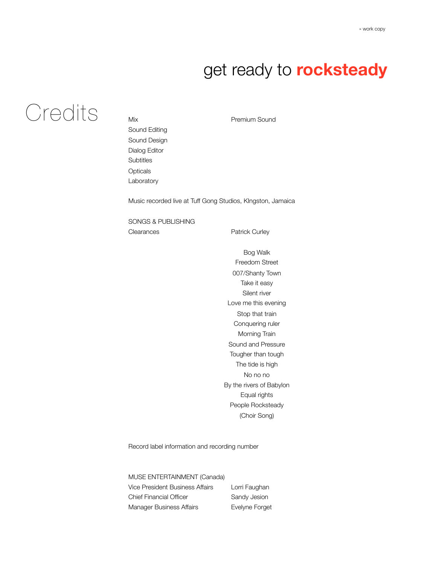## Credits

Mix Premium Sound Sound Editing Sound Design Dialog Editor **Subtitles Opticals** Laboratory

Music recorded live at Tuff Gong Studios, KIngston, Jamaica

SONGS & PUBLISHING Clearances Patrick Curley

Bog Walk Freedom Street 007/Shanty Town Take it easy Silent river Love me this evening Stop that train Conquering ruler Morning Train Sound and Pressure Tougher than tough The tide is high No no no By the rivers of Babylon Equal rights People Rocksteady (Choir Song)

Record label information and recording number

MUSE ENTERTAINMENT (Canada)

Vice President Business Affairs Lorri Faughan Chief Financial Officer Sandy Jesion Manager Business Affairs **Evelyne Forget**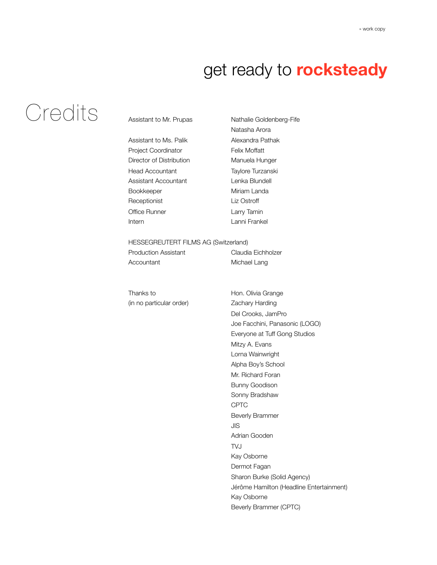# Credits

#### Assistant to Mr. Prupas Nathalie Goldenberg-Fife

Assistant to Ms. Palik Alexandra Pathak Project Coordinator Felix Moffatt Director of Distribution Manuela Hunger Head Accountant Taylore Turzanski Assistant Accountant **Lenka Blundell** Bookkeeper Miriam Landa Receptionist Liz Ostroff Office Runner Larry Tamin Intern Lanni Frankel

Natasha Arora

#### HESSEGREUTERT FILMS AG (Switzerland)

| Production Assistant | Claudia Eichholzer |
|----------------------|--------------------|
| Accountant           | Michael Lang       |

Thanks to **Hon.** Olivia Grange (in no particular order) Zachary Harding

Del Crooks, JamPro Joe Facchini, Panasonic (LOGO) Everyone at Tuff Gong Studios Mitzy A. Evans Lorna Wainwright Alpha Boy's School Mr. Richard Foran Bunny Goodison Sonny Bradshaw CPTC Beverly Brammer JIS Adrian Gooden TVJ Kay Osborne Dermot Fagan Sharon Burke (Solid Agency) Jérôme Hamilton (Headline Entertainment) Kay Osborne Beverly Brammer (CPTC)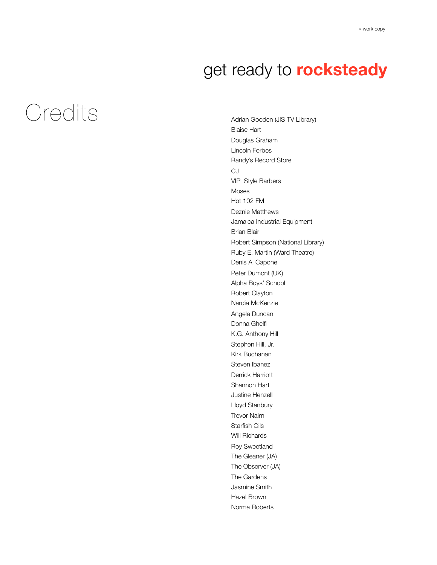# *Credits*

Adrian Gooden (JIS TV Library) Blaise Hart Douglas Graham Lincoln Forbes Randy's Record Store CJ VIP Style Barbers Moses Hot 102 FM Deznie Matthews Jamaica Industrial Equipment Brian Blair Robert Simpson (National Library) Ruby E. Martin (Ward Theatre) Denis Al Capone Peter Dumont (UK) Alpha Boys' School Robert Clayton Nardia McKenzie Angela Duncan Donna Ghelfi K.G. Anthony Hill Stephen Hill, Jr. Kirk Buchanan Steven Ibanez Derrick Harriott Shannon Hart Justine Henzell Lloyd Stanbury Trevor Nairn Starfish Oils Will Richards Roy Sweetland The Gleaner (JA) The Observer (JA) The Gardens Jasmine Smith Hazel Brown Norma Roberts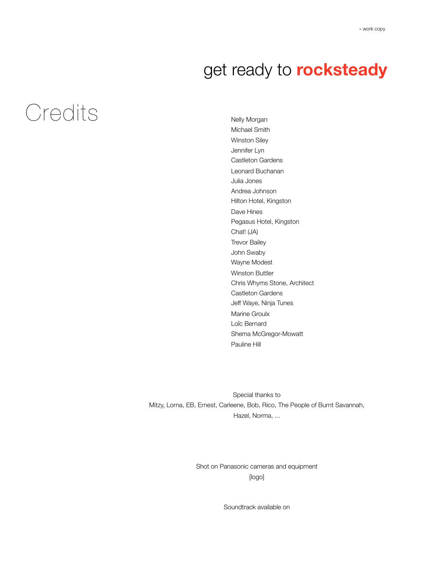## *Credits*

Nelly Morgan Michael Smith Winston Siley Jennifer Lyn Castleton Gardens Leonard Buchanan Julia Jones Andrea Johnson Hilton Hotel, Kingston Dave Hines Pegasus Hotel, Kingston Chat! (JA) Trevor Bailey John Swaby Wayne Modest Winston Buttler Chris Whyms Stone, Architect Castleton Gardens Jeff Waye, Ninja Tunes Marine Groulx Loîc Bernard Shema McGregor-Mowatt Pauline Hill

Special thanks to Mitzy, Lorna, EB, Ernest, Carleene, Bob, Rico, The People of Burnt Savannah, Hazel, Norma, ...

> Shot on Panasonic cameras and equipment [logo]

> > Soundtrack available on